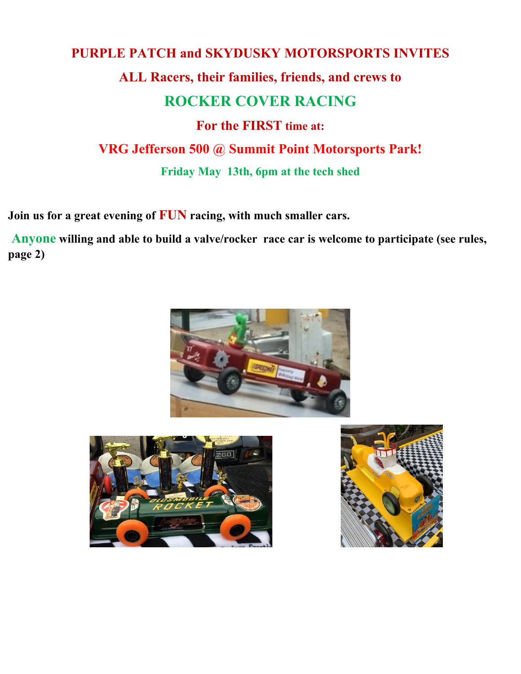# **PURPLE PATCH and SKYDUSKY MOTORSPORTS INVITES ALL Racers, their families, friends, and crews to ROCKER COVER RACING For the FIRST time at: VRG Jefferson 500 @ Summit Point Motorsports Park! Friday May 13th, 6pm at the tech shed**

**Join us for a great evening of FUN racing, with much smaller cars.**

 **Anyone willing and able to build a valve/rocker race car is welcome to participate (see rules, page 2)**